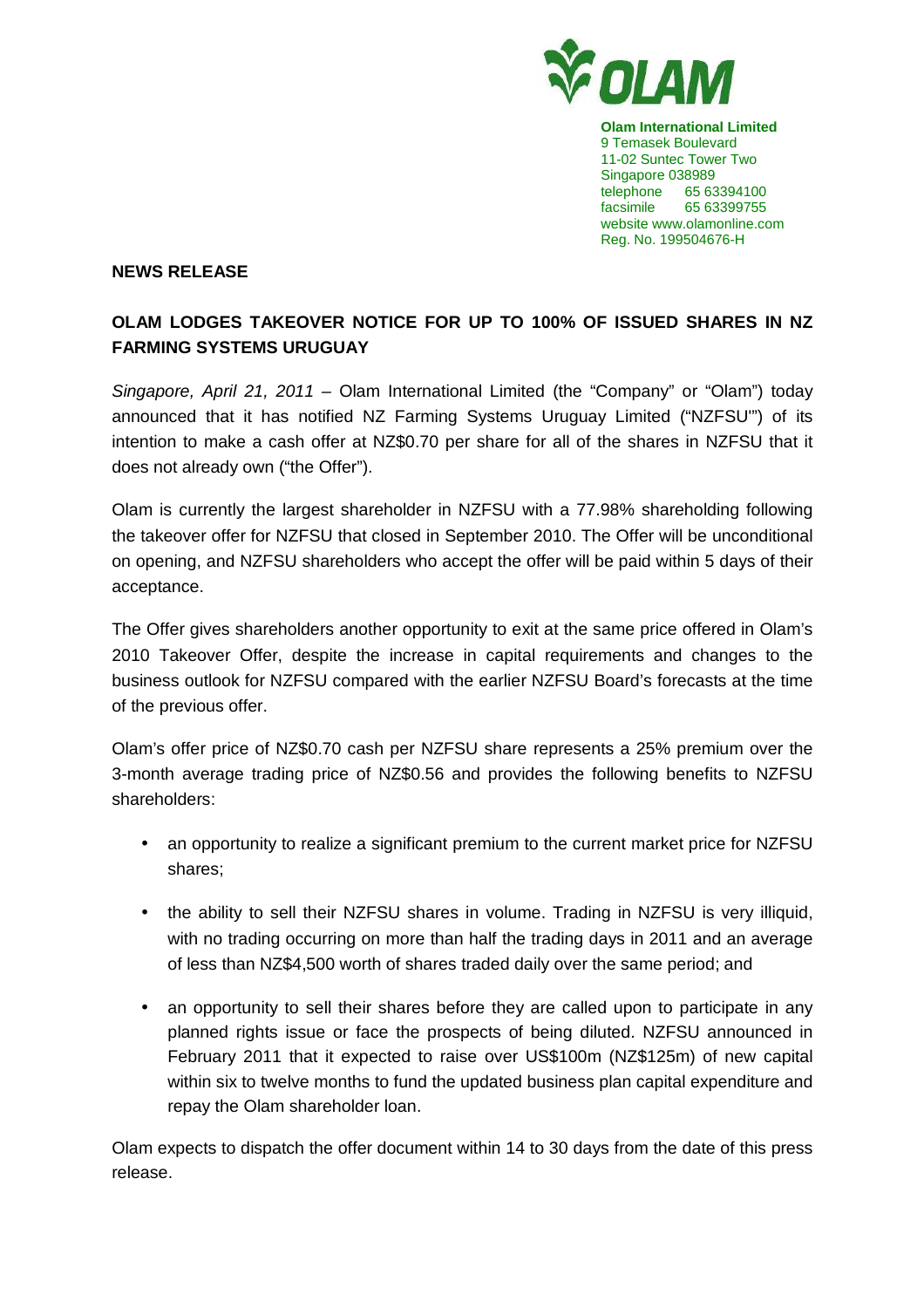

**Olam International Limited**  9 Temasek Boulevard 11-02 Suntec Tower Two Singapore 038989 telephone 65 63394100 facsimile 65 63399755 website www.olamonline.com Reg. No. 199504676-H

## **NEWS RELEASE**

## **OLAM LODGES TAKEOVER NOTICE FOR UP TO 100% OF ISSUED SHARES IN NZ FARMING SYSTEMS URUGUAY**

Singapore, April 21, 2011 – Olam International Limited (the "Company" or "Olam") today announced that it has notified NZ Farming Systems Uruguay Limited ("NZFSU'") of its intention to make a cash offer at NZ\$0.70 per share for all of the shares in NZFSU that it does not already own ("the Offer").

Olam is currently the largest shareholder in NZFSU with a 77.98% shareholding following the takeover offer for NZFSU that closed in September 2010. The Offer will be unconditional on opening, and NZFSU shareholders who accept the offer will be paid within 5 days of their acceptance.

The Offer gives shareholders another opportunity to exit at the same price offered in Olam's 2010 Takeover Offer, despite the increase in capital requirements and changes to the business outlook for NZFSU compared with the earlier NZFSU Board's forecasts at the time of the previous offer.

Olam's offer price of NZ\$0.70 cash per NZFSU share represents a 25% premium over the 3-month average trading price of NZ\$0.56 and provides the following benefits to NZFSU shareholders:

- an opportunity to realize a significant premium to the current market price for NZFSU shares;
- the ability to sell their NZFSU shares in volume. Trading in NZFSU is very illiquid, with no trading occurring on more than half the trading days in 2011 and an average of less than NZ\$4,500 worth of shares traded daily over the same period; and
- an opportunity to sell their shares before they are called upon to participate in any planned rights issue or face the prospects of being diluted. NZFSU announced in February 2011 that it expected to raise over US\$100m (NZ\$125m) of new capital within six to twelve months to fund the updated business plan capital expenditure and repay the Olam shareholder loan.

Olam expects to dispatch the offer document within 14 to 30 days from the date of this press release.